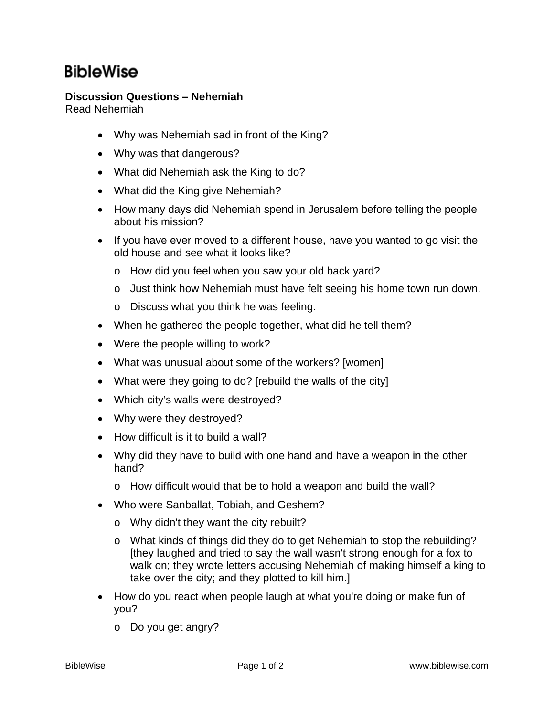## **BibleWise**

## **Discussion Questions – Nehemiah**

Read Nehemiah

- Why was Nehemiah sad in front of the King?
- Why was that dangerous?
- What did Nehemiah ask the King to do?
- What did the King give Nehemiah?
- How many days did Nehemiah spend in Jerusalem before telling the people about his mission?
- If you have ever moved to a different house, have you wanted to go visit the old house and see what it looks like?
	- o How did you feel when you saw your old back yard?
	- o Just think how Nehemiah must have felt seeing his home town run down.
	- o Discuss what you think he was feeling.
- When he gathered the people together, what did he tell them?
- Were the people willing to work?
- What was unusual about some of the workers? [women]
- What were they going to do? [rebuild the walls of the city]
- Which city's walls were destroyed?
- Why were they destroyed?
- How difficult is it to build a wall?
- Why did they have to build with one hand and have a weapon in the other hand?
	- o How difficult would that be to hold a weapon and build the wall?
- Who were Sanballat, Tobiah, and Geshem?
	- o Why didn't they want the city rebuilt?
	- o What kinds of things did they do to get Nehemiah to stop the rebuilding? [they laughed and tried to say the wall wasn't strong enough for a fox to walk on; they wrote letters accusing Nehemiah of making himself a king to take over the city; and they plotted to kill him.]
- How do you react when people laugh at what you're doing or make fun of you?
	- o Do you get angry?